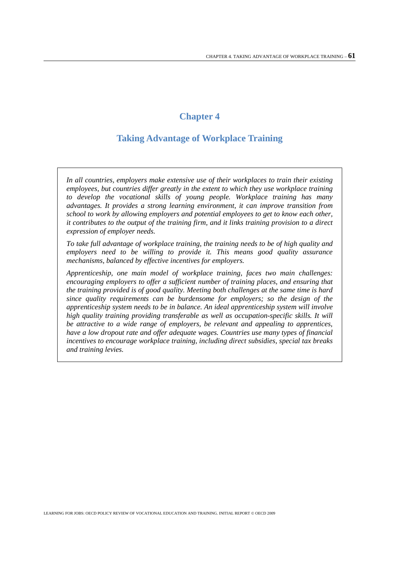# **Chapter 4**

# **Taking Advantage of Workplace Training**

*In all countries, employers make extensive use of their workplaces to train their existing employees, but countries differ greatly in the extent to which they use workplace training to develop the vocational skills of young people. Workplace training has many advantages. It provides a strong learning environment, it can improve transition from school to work by allowing employers and potential employees to get to know each other, it contributes to the output of the training firm, and it links training provision to a direct expression of employer needs.* 

*To take full advantage of workplace training, the training needs to be of high quality and employers need to be willing to provide it. This means good quality assurance mechanisms, balanced by effective incentives for employers.* 

*Apprenticeship, one main model of workplace training, faces two main challenges: encouraging employers to offer a sufficient number of training places, and ensuring that the training provided is of good quality. Meeting both challenges at the same time is hard since quality requirements can be burdensome for employers; so the design of the apprenticeship system needs to be in balance. An ideal apprenticeship system will involve high quality training providing transferable as well as occupation-specific skills. It will be attractive to a wide range of employers, be relevant and appealing to apprentices, have a low dropout rate and offer adequate wages. Countries use many types of financial incentives to encourage workplace training, including direct subsidies, special tax breaks and training levies.*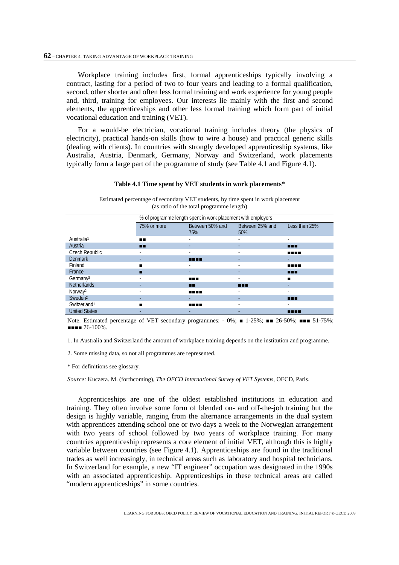Workplace training includes first, formal apprenticeships typically involving a contract, lasting for a period of two to four years and leading to a formal qualification, second, other shorter and often less formal training and work experience for young people and, third, training for employees. Our interests lie mainly with the first and second elements, the apprenticeships and other less formal training which form part of initial vocational education and training (VET).

For a would-be electrician, vocational training includes theory (the physics of electricity), practical hands-on skills (how to wire a house) and practical generic skills (dealing with clients). In countries with strongly developed apprenticeship systems, like Australia, Austria, Denmark, Germany, Norway and Switzerland, work placements typically form a large part of the programme of study (see Table 4.1 and Figure 4.1).

#### **Table 4.1 Time spent by VET students in work placements\***

|                          | % of programme length spent in work placement with employers |                 |                          |               |  |  |  |
|--------------------------|--------------------------------------------------------------|-----------------|--------------------------|---------------|--|--|--|
|                          |                                                              |                 |                          |               |  |  |  |
|                          | 75% or more                                                  | Between 50% and | Between 25% and          | Less than 25% |  |  |  |
|                          |                                                              | 75%             | 50%                      |               |  |  |  |
| Australia <sup>1</sup>   |                                                              |                 |                          |               |  |  |  |
| Austria                  | ш                                                            | ٠               | ٠                        | <b>HH</b>     |  |  |  |
| Czech Republic           |                                                              |                 |                          |               |  |  |  |
| <b>Denmark</b>           |                                                              | ----            | ٠                        | ٠             |  |  |  |
| Finland                  |                                                              | ٠               | $\blacksquare$           |               |  |  |  |
| France                   | п                                                            | -               |                          | <b>HH</b>     |  |  |  |
| Germany <sup>2</sup>     |                                                              |                 | $\overline{\phantom{a}}$ |               |  |  |  |
| <b>Netherlands</b>       |                                                              | ш               | <b>THE</b>               |               |  |  |  |
| Norway <sup>2</sup>      |                                                              |                 |                          |               |  |  |  |
| Sweden <sup>2</sup>      | ٠                                                            | ٠               | ٠                        | <b>HH</b>     |  |  |  |
| Switzerland <sup>1</sup> |                                                              |                 | $\overline{\phantom{a}}$ |               |  |  |  |
| <b>United States</b>     |                                                              |                 | -                        | ----          |  |  |  |

Estimated percentage of secondary VET students, by time spent in work placement (as ratio of the total programme length)

Note: Estimated percentage of VET secondary programmes:  $-0\%$ : ■ 1-25%; ■■ 26-50%; ■■■ 51-75%; ■■■■ 76-100%.

1. In Australia and Switzerland the amount of workplace training depends on the institution and programme.

2. Some missing data, so not all programmes are represented.

\* For definitions see glossary.

*Source:* Kuczera. M. (forthcoming), *The OECD International Survey of VET Systems*, OECD, Paris.

Apprenticeships are one of the oldest established institutions in education and training. They often involve some form of blended on- and off-the-job training but the design is highly variable, ranging from the alternance arrangements in the dual system with apprentices attending school one or two days a week to the Norwegian arrangement with two years of school followed by two years of workplace training. For many countries apprenticeship represents a core element of initial VET, although this is highly variable between countries (see Figure 4.1). Apprenticeships are found in the traditional trades as well increasingly, in technical areas such as laboratory and hospital technicians. In Switzerland for example, a new "IT engineer" occupation was designated in the 1990s with an associated apprenticeship. Apprenticeships in these technical areas are called "modern apprenticeships" in some countries.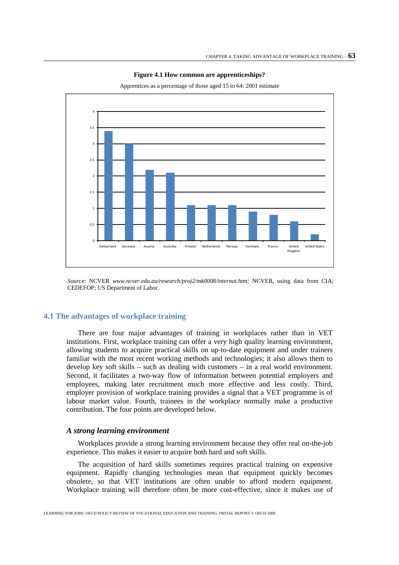

## **Figure 4.1 How common are apprenticeships?**

Apprentices as a percentage of those aged 15 to 64: 2001 estimate

*Source*: NCVER *www.ncver.edu.au/research/proj2/mk0008/internat.htm;* NCVER, using data from CIA; CEDEFOP; US Department of Labor.

## **4.1 The advantages of workplace training**

There are four major advantages of training in workplaces rather than in VET institutions. First, workplace training can offer a very high quality learning environment, allowing students to acquire practical skills on up-to-date equipment and under trainers familiar with the most recent working methods and technologies; it also allows them to develop key soft skills – such as dealing with customers – in a real world environment. Second, it facilitates a two-way flow of information between potential employers and employees, making later recruitment much more effective and less costly. Third, employer provision of workplace training provides a signal that a VET programme is of labour market value. Fourth, trainees in the workplace normally make a productive contribution. The four points are developed below.

## *A strong learning environment*

Workplaces provide a strong learning environment because they offer real on-the-job experience. This makes it easier to acquire both hard and soft skills.

The acquisition of hard skills sometimes requires practical training on expensive equipment. Rapidly changing technologies mean that equipment quickly becomes obsolete, so that VET institutions are often unable to afford modern equipment. Workplace training will therefore often be more cost-effective, since it makes use of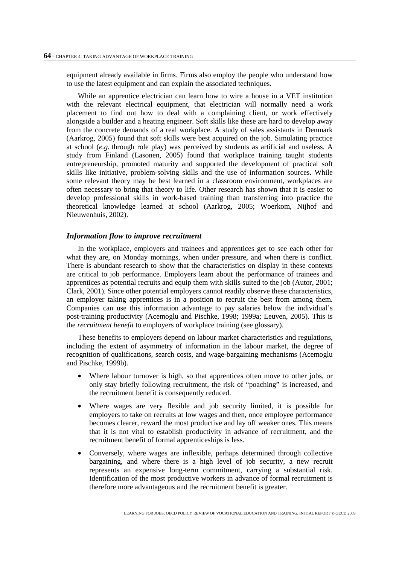equipment already available in firms. Firms also employ the people who understand how to use the latest equipment and can explain the associated techniques.

While an apprentice electrician can learn how to wire a house in a VET institution with the relevant electrical equipment, that electrician will normally need a work placement to find out how to deal with a complaining client, or work effectively alongside a builder and a heating engineer. Soft skills like these are hard to develop away from the concrete demands of a real workplace. A study of sales assistants in Denmark (Aarkrog, 2005) found that soft skills were best acquired on the job. Simulating practice at school (*e.g.* through role play) was perceived by students as artificial and useless. A study from Finland (Lasonen, 2005) found that workplace training taught students entrepreneurship, promoted maturity and supported the development of practical soft skills like initiative, problem-solving skills and the use of information sources. While some relevant theory may be best learned in a classroom environment, workplaces are often necessary to bring that theory to life. Other research has shown that it is easier to develop professional skills in work-based training than transferring into practice the theoretical knowledge learned at school (Aarkrog, 2005; Woerkom, Nijhof and Nieuwenhuis, 2002).

## *Information flow to improve recruitment*

In the workplace, employers and trainees and apprentices get to see each other for what they are, on Monday mornings, when under pressure, and when there is conflict. There is abundant research to show that the characteristics on display in these contexts are critical to job performance. Employers learn about the performance of trainees and apprentices as potential recruits and equip them with skills suited to the job (Autor, 2001; Clark, 2001). Since other potential employers cannot readily observe these characteristics, an employer taking apprentices is in a position to recruit the best from among them. Companies can use this information advantage to pay salaries below the individual's post-training productivity (Acemoglu and Pischke, 1998; 1999a; Leuven, 2005). This is the *recruitment benefit* to employers of workplace training (see glossary).

These benefits to employers depend on labour market characteristics and regulations, including the extent of asymmetry of information in the labour market, the degree of recognition of qualifications, search costs, and wage-bargaining mechanisms (Acemoglu and Pischke, 1999b).

- Where labour turnover is high, so that apprentices often move to other jobs, or only stay briefly following recruitment, the risk of "poaching" is increased, and the recruitment benefit is consequently reduced.
- Where wages are very flexible and job security limited, it is possible for employers to take on recruits at low wages and then, once employee performance becomes clearer, reward the most productive and lay off weaker ones. This means that it is not vital to establish productivity in advance of recruitment, and the recruitment benefit of formal apprenticeships is less.
- Conversely, where wages are inflexible, perhaps determined through collective bargaining, and where there is a high level of job security, a new recruit represents an expensive long-term commitment, carrying a substantial risk. Identification of the most productive workers in advance of formal recruitment is therefore more advantageous and the recruitment benefit is greater.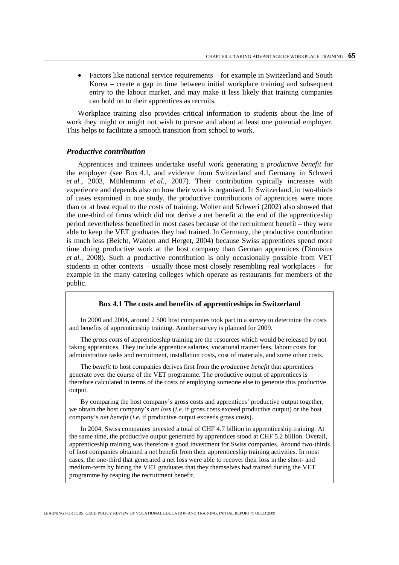• Factors like national service requirements – for example in Switzerland and South Korea – create a gap in time between initial workplace training and subsequent entry to the labour market, and may make it less likely that training companies can hold on to their apprentices as recruits.

Workplace training also provides critical information to students about the line of work they might or might not wish to pursue and about at least one potential employer. This helps to facilitate a smooth transition from school to work.

## *Productive contribution*

Apprentices and trainees undertake useful work generating a *productive benefit* for the employer (see Box 4.1, and evidence from Switzerland and Germany in Schweri *et al.*, 2003, Mühlemann *et al.*, 2007). Their contribution typically increases with experience and depends also on how their work is organised. In Switzerland, in two-thirds of cases examined in one study, the productive contributions of apprentices were more than or at least equal to the costs of training. Wolter and Schweri (2002) also showed that the one-third of firms which did not derive a net benefit at the end of the apprenticeship period nevertheless benefited in most cases because of the recruitment benefit – they were able to keep the VET graduates they had trained. In Germany, the productive contribution is much less (Beicht, Walden and Herget, 2004) because Swiss apprentices spend more time doing productive work at the host company than German apprentices (Dionisius *et al.*, 2008). Such a productive contribution is only occasionally possible from VET students in other contexts – usually those most closely resembling real workplaces – for example in the many catering colleges which operate as restaurants for members of the public.

## **Box 4.1 The costs and benefits of apprenticeships in Switzerland**

In 2000 and 2004, around 2 500 host companies took part in a survey to determine the costs and benefits of apprenticeship training. Another survey is planned for 2009.

The *gross costs* of apprenticeship training are the resources which would be released by not taking apprentices. They include apprentice salaries, vocational trainer fees, labour costs for administrative tasks and recruitment, installation costs, cost of materials, and some other costs.

The *benefit* to host companies derives first from the *productive benefit* that apprentices generate over the course of the VET programme. The productive output of apprentices is therefore calculated in terms of the costs of employing someone else to generate this productive output.

By comparing the host company's gross costs and apprentices' productive output together, we obtain the host company's *net loss* (*i.e.* if gross costs exceed productive output) or the host company's *net benefit* (*i.e.* if productive output exceeds gross costs).

In 2004, Swiss companies invested a total of CHF 4.7 billion in apprenticeship training. At the same time, the productive output generated by apprentices stood at CHF 5.2 billion. Overall, apprenticeship training was therefore a good investment for Swiss companies. Around two-thirds of host companies obtained a net benefit from their apprenticeship training activities. In most cases, the one-third that generated a net loss were able to recover their loss in the short- and medium-term by hiring the VET graduates that they themselves had trained during the VET programme by reaping the recruitment benefit.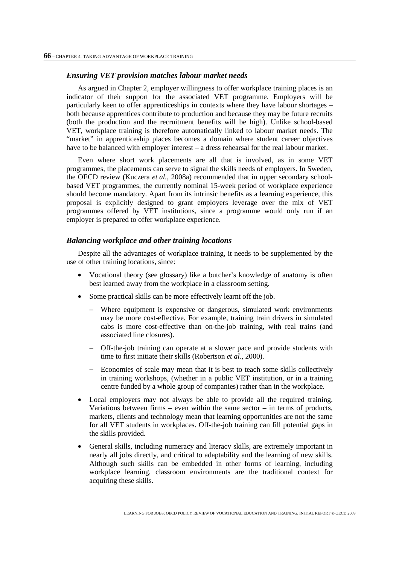#### *Ensuring VET provision matches labour market needs*

As argued in Chapter 2, employer willingness to offer workplace training places is an indicator of their support for the associated VET programme. Employers will be particularly keen to offer apprenticeships in contexts where they have labour shortages – both because apprentices contribute to production and because they may be future recruits (both the production and the recruitment benefits will be high). Unlike school-based VET, workplace training is therefore automatically linked to labour market needs. The "market" in apprenticeship places becomes a domain where student career objectives have to be balanced with employer interest – a dress rehearsal for the real labour market.

Even where short work placements are all that is involved, as in some VET programmes, the placements can serve to signal the skills needs of employers. In Sweden, the OECD review (Kuczera *et al.*, 2008a) recommended that in upper secondary schoolbased VET programmes, the currently nominal 15-week period of workplace experience should become mandatory. Apart from its intrinsic benefits as a learning experience, this proposal is explicitly designed to grant employers leverage over the mix of VET programmes offered by VET institutions, since a programme would only run if an employer is prepared to offer workplace experience.

## *Balancing workplace and other training locations*

Despite all the advantages of workplace training, it needs to be supplemented by the use of other training locations, since:

- Vocational theory (see glossary) like a butcher's knowledge of anatomy is often best learned away from the workplace in a classroom setting.
- Some practical skills can be more effectively learnt off the job.
	- Where equipment is expensive or dangerous, simulated work environments may be more cost-effective. For example, training train drivers in simulated cabs is more cost-effective than on-the-job training, with real trains (and associated line closures).
	- − Off-the-job training can operate at a slower pace and provide students with time to first initiate their skills (Robertson *et al*., 2000).
	- Economies of scale may mean that it is best to teach some skills collectively in training workshops, (whether in a public VET institution, or in a training centre funded by a whole group of companies) rather than in the workplace.
- Local employers may not always be able to provide all the required training. Variations between firms – even within the same sector – in terms of products, markets, clients and technology mean that learning opportunities are not the same for all VET students in workplaces. Off-the-job training can fill potential gaps in the skills provided.
- General skills, including numeracy and literacy skills, are extremely important in nearly all jobs directly, and critical to adaptability and the learning of new skills. Although such skills can be embedded in other forms of learning, including workplace learning, classroom environments are the traditional context for acquiring these skills.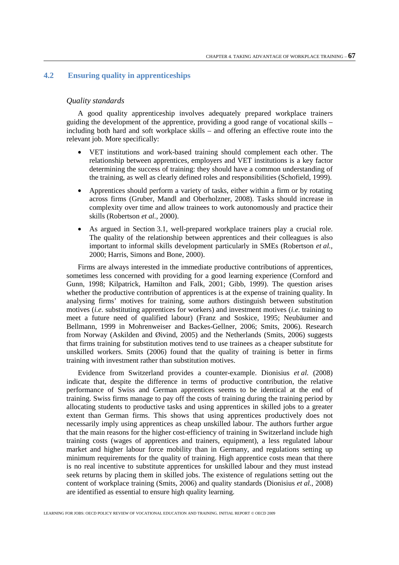## **4.2 Ensuring quality in apprenticeships**

## *Quality standards*

A good quality apprenticeship involves adequately prepared workplace trainers guiding the development of the apprentice, providing a good range of vocational skills – including both hard and soft workplace skills – and offering an effective route into the relevant job. More specifically:

- VET institutions and work-based training should complement each other. The relationship between apprentices, employers and VET institutions is a key factor determining the success of training: they should have a common understanding of the training, as well as clearly defined roles and responsibilities (Schofield, 1999).
- Apprentices should perform a variety of tasks, either within a firm or by rotating across firms (Gruber, Mandl and Oberholzner, 2008). Tasks should increase in complexity over time and allow trainees to work autonomously and practice their skills (Robertson *et al.,* 2000).
- As argued in Section 3.1, well-prepared workplace trainers play a crucial role. The quality of the relationship between apprentices and their colleagues is also important to informal skills development particularly in SMEs (Robertson *et al.,* 2000; Harris, Simons and Bone, 2000).

Firms are always interested in the immediate productive contributions of apprentices, sometimes less concerned with providing for a good learning experience (Cornford and Gunn, 1998; Kilpatrick, Hamilton and Falk, 2001; Gibb, 1999). The question arises whether the productive contribution of apprentices is at the expense of training quality. In analysing firms' motives for training, some authors distinguish between substitution motives (*i.e.* substituting apprentices for workers) and investment motives (*i.e.* training to meet a future need of qualified labour) (Franz and Soskice, 1995; Neubäumer and Bellmann, 1999 in Mohrenweiser and Backes-Gellner, 2006; Smits, 2006). Research from Norway (Askilden and Øivind, 2005) and the Netherlands (Smits, 2006) suggests that firms training for substitution motives tend to use trainees as a cheaper substitute for unskilled workers. Smits (2006) found that the quality of training is better in firms training with investment rather than substitution motives.

Evidence from Switzerland provides a counter-example. Dionisius *et al.* (2008) indicate that, despite the difference in terms of productive contribution, the relative performance of Swiss and German apprentices seems to be identical at the end of training. Swiss firms manage to pay off the costs of training during the training period by allocating students to productive tasks and using apprentices in skilled jobs to a greater extent than German firms. This shows that using apprentices productively does not necessarily imply using apprentices as cheap unskilled labour. The authors further argue that the main reasons for the higher cost-efficiency of training in Switzerland include high training costs (wages of apprentices and trainers, equipment), a less regulated labour market and higher labour force mobility than in Germany, and regulations setting up minimum requirements for the quality of training. High apprentice costs mean that there is no real incentive to substitute apprentices for unskilled labour and they must instead seek returns by placing them in skilled jobs. The existence of regulations setting out the content of workplace training (Smits, 2006) and quality standards (Dionisius *et al.*, 2008) are identified as essential to ensure high quality learning.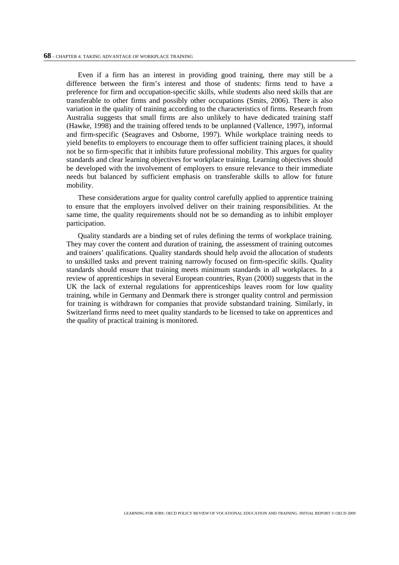Even if a firm has an interest in providing good training, there may still be a difference between the firm's interest and those of students: firms tend to have a preference for firm and occupation-specific skills, while students also need skills that are transferable to other firms and possibly other occupations (Smits, 2006). There is also variation in the quality of training according to the characteristics of firms. Research from Australia suggests that small firms are also unlikely to have dedicated training staff (Hawke, 1998) and the training offered tends to be unplanned (Vallence, 1997), informal and firm-specific (Seagraves and Osborne, 1997). While workplace training needs to yield benefits to employers to encourage them to offer sufficient training places, it should not be so firm-specific that it inhibits future professional mobility. This argues for quality standards and clear learning objectives for workplace training. Learning objectives should be developed with the involvement of employers to ensure relevance to their immediate needs but balanced by sufficient emphasis on transferable skills to allow for future mobility.

These considerations argue for quality control carefully applied to apprentice training to ensure that the employers involved deliver on their training responsibilities. At the same time, the quality requirements should not be so demanding as to inhibit employer participation.

Quality standards are a binding set of rules defining the terms of workplace training. They may cover the content and duration of training, the assessment of training outcomes and trainers' qualifications. Quality standards should help avoid the allocation of students to unskilled tasks and prevent training narrowly focused on firm-specific skills. Quality standards should ensure that training meets minimum standards in all workplaces. In a review of apprenticeships in several European countries, Ryan (2000) suggests that in the UK the lack of external regulations for apprenticeships leaves room for low quality training, while in Germany and Denmark there is stronger quality control and permission for training is withdrawn for companies that provide substandard training. Similarly, in Switzerland firms need to meet quality standards to be licensed to take on apprentices and the quality of practical training is monitored.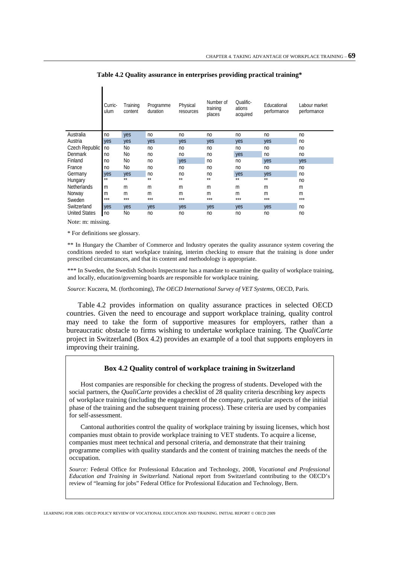|                      | Curric-<br>ulum | Training<br>content | Programme<br>duration | Physical<br>resources | Number of<br>training<br>places | Qualific-<br>ations<br>acquired | Educational<br>performance | Labour market<br>performance |
|----------------------|-----------------|---------------------|-----------------------|-----------------------|---------------------------------|---------------------------------|----------------------------|------------------------------|
| Australia            | no              | yes                 | no                    | no                    | n <sub>0</sub>                  | no.                             | no                         | no                           |
| Austria              | yes             | yes                 | yes                   | yes                   | yes                             | yes                             | yes                        | no                           |
| Czech Republic       | no              | No                  | n <sub>0</sub>        | no                    | no                              | no                              | no                         | no                           |
| <b>Denmark</b>       | no              | No                  | n <sub>0</sub>        | no                    | n <sub>0</sub>                  | yes                             | no                         | n <sub>0</sub>               |
| Finland              | no              | No                  | n <sub>0</sub>        | yes                   | n <sub>0</sub>                  | no                              | yes                        | yes                          |
| France               | no              | No                  | no                    | no                    | no                              | no                              | no                         | no                           |
| Germany              | yes             | yes                 | n <sub>0</sub>        | n <sub>0</sub>        | no                              | yes                             | yes                        | n <sub>0</sub>               |
| Hungary              | $**$            | $**$                | $**$                  | $**$                  | $**$                            | $**$                            | $**$                       | no                           |
| <b>Netherlands</b>   | m               | m                   | m                     | m                     | m                               | m                               | m                          | m                            |
| Norway               | m               | m                   | m                     | m                     | m                               | m                               | m                          | m                            |
| Sweden               | ***             | ***                 | ***                   | ***                   | ***                             | ***                             | ***                        | ***                          |
| Switzerland          | yes             | yes                 | yes                   | yes                   | yes                             | yes                             | yes                        | n <sub>0</sub>               |
| <b>United States</b> | no              | No                  | no                    | no                    | no                              | no                              | no                         | no                           |

**Table 4.2 Quality assurance in enterprises providing practical training\*** 

Note: m: missing.

\* For definitions see glossary.

I

\*\* In Hungary the Chamber of Commerce and Industry operates the quality assurance system covering the conditions needed to start workplace training, interim checking to ensure that the training is done under prescribed circumstances, and that its content and methodology is appropriate.

\*\*\* In Sweden, the Swedish Schools Inspectorate has a mandate to examine the quality of workplace training, and locally, education/governing boards are responsible for workplace training.

*Source*: Kuczera, M. (forthcoming), *The OECD International Survey of VET Systems*, OECD, Paris.

Table 4.2 provides information on quality assurance practices in selected OECD countries. Given the need to encourage and support workplace training, quality control may need to take the form of supportive measures for employers, rather than a bureaucratic obstacle to firms wishing to undertake workplace training. The *QualiCarte* project in Switzerland (Box 4.2) provides an example of a tool that supports employers in improving their training.

#### **Box 4.2 Quality control of workplace training in Switzerland**

Host companies are responsible for checking the progress of students. Developed with the social partners, the *QualiCarte* provides a checklist of 28 quality criteria describing key aspects of workplace training (including the engagement of the company, particular aspects of the initial phase of the training and the subsequent training process). These criteria are used by companies for self-assessment.

Cantonal authorities control the quality of workplace training by issuing licenses, which host companies must obtain to provide workplace training to VET students. To acquire a license, companies must meet technical and personal criteria, and demonstrate that their training programme complies with quality standards and the content of training matches the needs of the occupation.

*Source:* Federal Office for Professional Education and Technology, 2008, *Vocational and Professional Education and Training in Switzerland.* National report from Switzerland contributing to the OECD's review of "learning for jobs" Federal Office for Professional Education and Technology, Bern.

LEARNING FOR JOBS: OECD POLICY REVIEW OF VOCATIONAL EDUCATION AND TRAINING. INITIAL REPORT © OECD 2009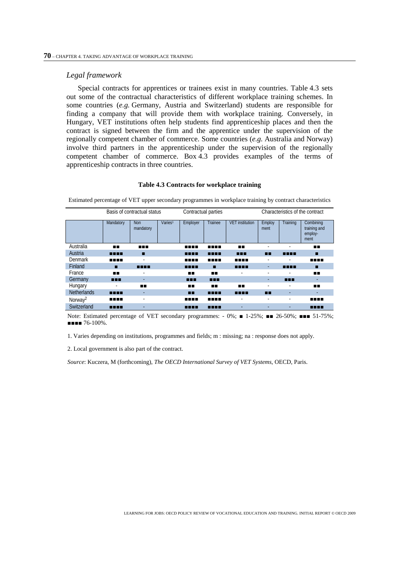#### *Legal framework*

Special contracts for apprentices or trainees exist in many countries. Table 4.3 sets out some of the contractual characteristics of different workplace training schemes. In some countries (*e.g.* Germany, Austria and Switzerland) students are responsible for finding a company that will provide them with workplace training. Conversely, in Hungary, VET institutions often help students find apprenticeship places and then the contract is signed between the firm and the apprentice under the supervision of the regionally competent chamber of commerce. Some countries (*e.g.* Australia and Norway) involve third partners in the apprenticeship under the supervision of the regionally competent chamber of commerce. Box 4.3 provides examples of the terms of apprenticeship contracts in three countries.

#### **Table 4.3 Contracts for workplace training**

Estimated percentage of VET upper secondary programmes in workplace training by contract characteristics

|                     | Basis of contractual status |                         | Contractual parties |            | Characteristics of the contract |                        |                |                          |                                              |
|---------------------|-----------------------------|-------------------------|---------------------|------------|---------------------------------|------------------------|----------------|--------------------------|----------------------------------------------|
|                     | Mandatory                   | <b>Non</b><br>mandatory | Varies <sup>1</sup> | Employer   | <b>Trainee</b>                  | <b>VET</b> institution | Employ<br>ment | Training                 | Combining<br>training and<br>employ-<br>ment |
| Australia           | п.                          |                         |                     | ----       |                                 | п.                     |                |                          | п.                                           |
| Austria             | ----                        | п                       |                     | ----       | ----                            | <b>HELL</b>            | ш              | ----                     | п                                            |
| Denmark             |                             | ٠                       |                     | ----       |                                 |                        |                |                          |                                              |
| Finland             | п                           | ----                    |                     | ----       | п                               | ----                   |                | ----                     | п                                            |
| France              | п.                          |                         |                     | п.         | ш                               |                        |                |                          | п.                                           |
| Germany             | <b>HEL</b>                  | ٠                       |                     | <b>THE</b> | <b>HILL</b>                     |                        |                | <b>HELL</b>              | ٠                                            |
| Hungary             | $\blacksquare$              | п.                      |                     | п.         | п.                              | п.                     | ٠              | $\blacksquare$           | п.                                           |
| <b>Netherlands</b>  | ----                        |                         |                     | ш          | ----                            | ----                   | ш              | $\overline{\phantom{a}}$ |                                              |
| Norway <sup>2</sup> |                             | ٠                       |                     | ----       |                                 |                        |                | $\blacksquare$           | ----                                         |
| Switzerland         | <b>FREE</b>                 |                         |                     | <b></b>    | ----                            |                        |                |                          | ----                                         |

Note: Estimated percentage of VET secondary programmes:  $-0\%$ ; ■ 1-25%; ■■ 26-50%; ■■ 51-75%; ■■■■ 76-100%.

1. Varies depending on institutions, programmes and fields; m : missing; na : response does not apply.

2. Local government is also part of the contract.

*Source*: Kuczera, M (forthcoming), *The OECD International Survey of VET Systems*, OECD, Paris.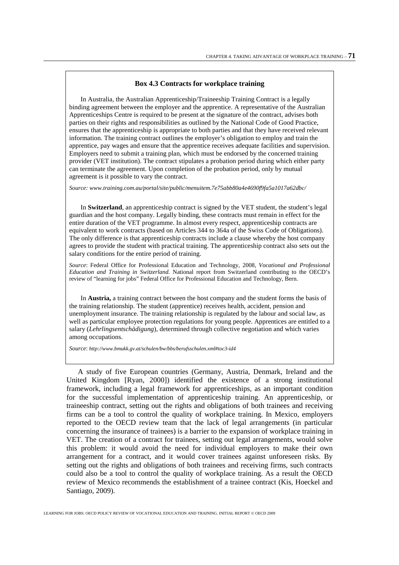#### **Box 4.3 Contracts for workplace training**

In Australia, the Australian Apprenticeship/Traineeship Training Contract is a legally binding agreement between the employer and the apprentice. A representative of the Australian Apprenticeships Centre is required to be present at the signature of the contract, advises both parties on their rights and responsibilities as outlined by the National Code of Good Practice, ensures that the apprenticeship is appropriate to both parties and that they have received relevant information. The training contract outlines the employer's obligation to employ and train the apprentice, pay wages and ensure that the apprentice receives adequate facilities and supervision. Employers need to submit a training plan, which must be endorsed by the concerned training provider (VET institution). The contract stipulates a probation period during which either party can terminate the agreement. Upon completion of the probation period, only by mutual agreement is it possible to vary the contract.

*Source: www.training.com.au/portal/site/public/menuitem.7e75abb80a4e4690f9fa5a1017a62dbc/*

In **Switzerland**, an apprenticeship contract is signed by the VET student, the student's legal guardian and the host company. Legally binding, these contracts must remain in effect for the entire duration of the VET programme. In almost every respect, apprenticeship contracts are equivalent to work contracts (based on Articles 344 to 364a of the Swiss Code of Obligations). The only difference is that apprenticeship contracts include a clause whereby the host company agrees to provide the student with practical training. The apprenticeship contract also sets out the salary conditions for the entire period of training.

*Source*: Federal Office for Professional Education and Technology, 2008, *Vocational and Professional Education and Training in Switzerland.* National report from Switzerland contributing to the OECD's review of "learning for jobs" Federal Office for Professional Education and Technology, Bern.

In **Austria,** a training contract between the host company and the student forms the basis of the training relationship. The student (apprentice) receives health, accident, pension and unemployment insurance. The training relationship is regulated by the labour and social law, as well as particular employee protection regulations for young people. Apprentices are entitled to a salary (*Lehrlingsentschädigung*), determined through collective negotiation and which varies among occupations.

*Source*: *http://www.bmukk.gv.at/schulen/bw/bbs/berufsschulen.xml#toc3-id4*

A study of five European countries (Germany, Austria, Denmark, Ireland and the United Kingdom [Ryan, 2000]) identified the existence of a strong institutional framework, including a legal framework for apprenticeships, as an important condition for the successful implementation of apprenticeship training. An apprenticeship, or traineeship contract, setting out the rights and obligations of both trainees and receiving firms can be a tool to control the quality of workplace training. In Mexico, employers reported to the OECD review team that the lack of legal arrangements (in particular concerning the insurance of trainees) is a barrier to the expansion of workplace training in VET. The creation of a contract for trainees, setting out legal arrangements, would solve this problem: it would avoid the need for individual employers to make their own arrangement for a contract, and it would cover trainees against unforeseen risks. By setting out the rights and obligations of both trainees and receiving firms, such contracts could also be a tool to control the quality of workplace training. As a result the OECD review of Mexico recommends the establishment of a trainee contract (Kis, Hoeckel and Santiago, 2009).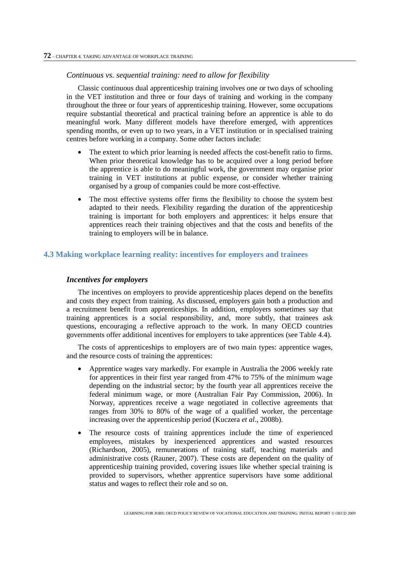#### *Continuous vs. sequential training: need to allow for flexibility*

Classic continuous dual apprenticeship training involves one or two days of schooling in the VET institution and three or four days of training and working in the company throughout the three or four years of apprenticeship training. However, some occupations require substantial theoretical and practical training before an apprentice is able to do meaningful work. Many different models have therefore emerged, with apprentices spending months, or even up to two years, in a VET institution or in specialised training centres before working in a company. Some other factors include:

- The extent to which prior learning is needed affects the cost-benefit ratio to firms. When prior theoretical knowledge has to be acquired over a long period before the apprentice is able to do meaningful work, the government may organise prior training in VET institutions at public expense, or consider whether training organised by a group of companies could be more cost-effective.
- The most effective systems offer firms the flexibility to choose the system best adapted to their needs. Flexibility regarding the duration of the apprenticeship training is important for both employers and apprentices: it helps ensure that apprentices reach their training objectives and that the costs and benefits of the training to employers will be in balance.

## **4.3 Making workplace learning reality: incentives for employers and trainees**

## *Incentives for employers*

The incentives on employers to provide apprenticeship places depend on the benefits and costs they expect from training. As discussed, employers gain both a production and a recruitment benefit from apprenticeships. In addition, employers sometimes say that training apprentices is a social responsibility, and, more subtly, that trainees ask questions, encouraging a reflective approach to the work. In many OECD countries governments offer additional incentives for employers to take apprentices (see Table 4.4).

The costs of apprenticeships to employers are of two main types: apprentice wages, and the resource costs of training the apprentices:

- Apprentice wages vary markedly. For example in Australia the 2006 weekly rate for apprentices in their first year ranged from 47% to 75% of the minimum wage depending on the industrial sector; by the fourth year all apprentices receive the federal minimum wage, or more (Australian Fair Pay Commission, 2006). In Norway, apprentices receive a wage negotiated in collective agreements that ranges from 30% to 80% of the wage of a qualified worker, the percentage increasing over the apprenticeship period (Kuczera *et al*., 2008b).
- The resource costs of training apprentices include the time of experienced employees, mistakes by inexperienced apprentices and wasted resources (Richardson, 2005), remunerations of training staff, teaching materials and administrative costs (Rauner, 2007). These costs are dependent on the quality of apprenticeship training provided, covering issues like whether special training is provided to supervisors, whether apprentice supervisors have some additional status and wages to reflect their role and so on.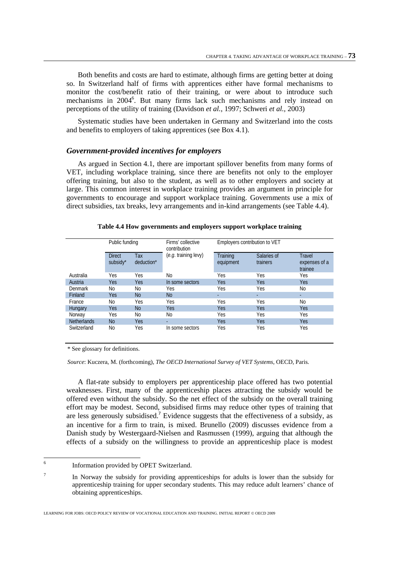Both benefits and costs are hard to estimate, although firms are getting better at doing so. In Switzerland half of firms with apprentices either have formal mechanisms to monitor the cost/benefit ratio of their training, or were about to introduce such mechanisms in 2004<sup>6</sup>. But many firms lack such mechanisms and rely instead on perceptions of the utility of training (Davidson *et al.*, 1997; Schweri *et al.,* 2003)

Systematic studies have been undertaken in Germany and Switzerland into the costs and benefits to employers of taking apprentices (see Box 4.1).

## *Government-provided incentives for employers*

As argued in Section 4.1, there are important spillover benefits from many forms of VET, including workplace training, since there are benefits not only to the employer offering training, but also to the student, as well as to other employers and society at large. This common interest in workplace training provides an argument in principle for governments to encourage and support workplace training. Governments use a mix of direct subsidies, tax breaks, levy arrangements and in-kind arrangements (see Table 4.4).

|                    | Public funding |            | Firms' collective<br>contribution | Employers contribution to VET |             |                          |
|--------------------|----------------|------------|-----------------------------------|-------------------------------|-------------|--------------------------|
|                    | <b>Direct</b>  | Tax        | (e.g. training levy)              | Training                      | Salaries of | <b>Travel</b>            |
|                    | subsidy*       | deduction* |                                   | equipment                     | trainers    | expenses of a<br>trainee |
| Australia          | <b>Yes</b>     | Yes        | N <sub>0</sub>                    | Yes                           | Yes         | <b>Yes</b>               |
| Austria            | Yes            | Yes        | In some sectors                   | <b>Yes</b>                    | Yes         | Yes                      |
| Denmark            | No             | No         | Yes                               | Yes.                          | Yes         | No                       |
| Finland            | Yes            | <b>No</b>  | <b>No</b>                         | ٠                             | ۰.          | $\overline{\phantom{a}}$ |
| France             | No.            | Yes        | Yes                               | Yes                           | Yes         | No                       |
| Hungary            | Yes            | <b>No</b>  | Yes                               | <b>Yes</b>                    | <b>Yes</b>  | <b>Yes</b>               |
| Norway             | Yes            | No         | No                                | Yes                           | Yes         | Yes                      |
| <b>Netherlands</b> | <b>No</b>      | <b>Yes</b> | ۰.                                | <b>Yes</b>                    | <b>Yes</b>  | <b>Yes</b>               |
| Switzerland        | No             | Yes        | In some sectors                   | Yes                           | Yes         | Yes                      |

#### **Table 4.4 How governments and employers support workplace training**

\* See glossary for definitions.

*Source*: Kuczera, M. (forthcoming), *The OECD International Survey of VET Systems*, OECD, Paris.

A flat-rate subsidy to employers per apprenticeship place offered has two potential weaknesses. First, many of the apprenticeship places attracting the subsidy would be offered even without the subsidy. So the net effect of the subsidy on the overall training effort may be modest. Second, subsidised firms may reduce other types of training that are less generously subsidised.<sup>7</sup> Evidence suggests that the effectiveness of a subsidy, as an incentive for a firm to train, is mixed. Brunello (2009) discusses evidence from a Danish study by Westergaard-Nielsen and Rasmussen (1999), arguing that although the effects of a subsidy on the willingness to provide an apprenticeship place is modest

7

 6 Information provided by OPET Switzerland.

In Norway the subsidy for providing apprenticeships for adults is lower than the subsidy for apprenticeship training for upper secondary students. This may reduce adult learners' chance of obtaining apprenticeships.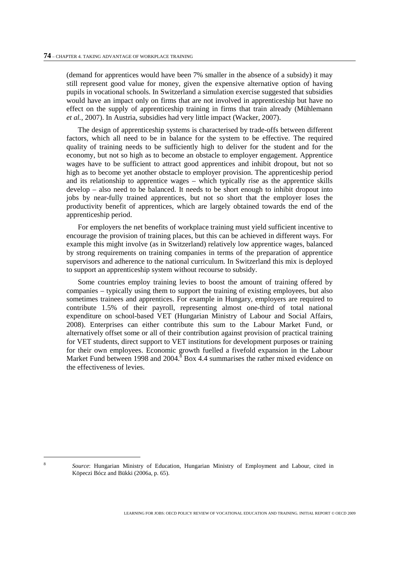$\overline{a}$ 

(demand for apprentices would have been 7% smaller in the absence of a subsidy) it may still represent good value for money, given the expensive alternative option of having pupils in vocational schools. In Switzerland a simulation exercise suggested that subsidies would have an impact only on firms that are not involved in apprenticeship but have no effect on the supply of apprenticeship training in firms that train already (Mühlemann *et al.*, 2007). In Austria, subsidies had very little impact (Wacker, 2007).

The design of apprenticeship systems is characterised by trade-offs between different factors, which all need to be in balance for the system to be effective. The required quality of training needs to be sufficiently high to deliver for the student and for the economy, but not so high as to become an obstacle to employer engagement. Apprentice wages have to be sufficient to attract good apprentices and inhibit dropout, but not so high as to become yet another obstacle to employer provision. The apprenticeship period and its relationship to apprentice wages – which typically rise as the apprentice skills develop – also need to be balanced. It needs to be short enough to inhibit dropout into jobs by near-fully trained apprentices, but not so short that the employer loses the productivity benefit of apprentices, which are largely obtained towards the end of the apprenticeship period.

For employers the net benefits of workplace training must yield sufficient incentive to encourage the provision of training places, but this can be achieved in different ways. For example this might involve (as in Switzerland) relatively low apprentice wages, balanced by strong requirements on training companies in terms of the preparation of apprentice supervisors and adherence to the national curriculum. In Switzerland this mix is deployed to support an apprenticeship system without recourse to subsidy.

Some countries employ training levies to boost the amount of training offered by companies – typically using them to support the training of existing employees, but also sometimes trainees and apprentices. For example in Hungary, employers are required to contribute 1.5% of their payroll, representing almost one-third of total national expenditure on school-based VET (Hungarian Ministry of Labour and Social Affairs, 2008). Enterprises can either contribute this sum to the Labour Market Fund, or alternatively offset some or all of their contribution against provision of practical training for VET students, direct support to VET institutions for development purposes or training for their own employees. Economic growth fuelled a fivefold expansion in the Labour Market Fund between 1998 and  $2004$ <sup>8</sup> Box 4.4 summarises the rather mixed evidence on the effectiveness of levies.

<sup>8</sup> *Source*: Hungarian Ministry of Education, Hungarian Ministry of Employment and Labour, cited in Köpeczi Bócz and Bükki (2006a, p. 65).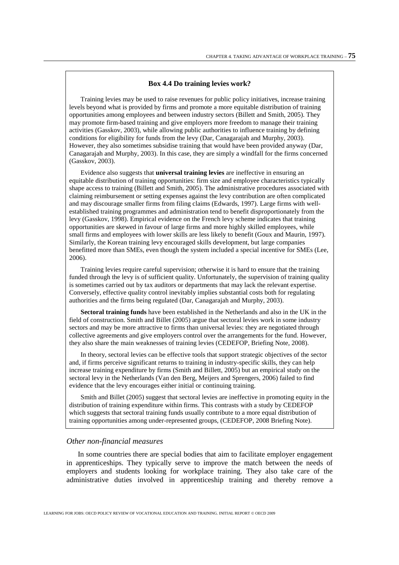#### **Box 4.4 Do training levies work?**

Training levies may be used to raise revenues for public policy initiatives, increase training levels beyond what is provided by firms and promote a more equitable distribution of training opportunities among employees and between industry sectors (Billett and Smith, 2005). They may promote firm-based training and give employers more freedom to manage their training activities (Gasskov, 2003), while allowing public authorities to influence training by defining conditions for eligibility for funds from the levy (Dar, Canagarajah and Murphy, 2003). However, they also sometimes subsidise training that would have been provided anyway (Dar, Canagarajah and Murphy, 2003). In this case, they are simply a windfall for the firms concerned (Gasskov, 2003).

Evidence also suggests that **universal training levies** are ineffective in ensuring an equitable distribution of training opportunities: firm size and employee characteristics typically shape access to training (Billett and Smith, 2005). The administrative procedures associated with claiming reimbursement or setting expenses against the levy contribution are often complicated and may discourage smaller firms from filing claims (Edwards, 1997). Large firms with wellestablished training programmes and administration tend to benefit disproportionately from the levy (Gasskov, 1998). Empirical evidence on the French levy scheme indicates that training opportunities are skewed in favour of large firms and more highly skilled employees, while small firms and employees with lower skills are less likely to benefit (Goux and Maurin, 1997). Similarly, the Korean training levy encouraged skills development, but large companies benefitted more than SMEs, even though the system included a special incentive for SMEs (Lee, 2006).

Training levies require careful supervision; otherwise it is hard to ensure that the training funded through the levy is of sufficient quality. Unfortunately, the supervision of training quality is sometimes carried out by tax auditors or departments that may lack the relevant expertise. Conversely, effective quality control inevitably implies substantial costs both for regulating authorities and the firms being regulated (Dar, Canagarajah and Murphy, 2003).

**Sectoral training funds** have been established in the Netherlands and also in the UK in the field of construction. Smith and Billet (2005) argue that sectoral levies work in some industry sectors and may be more attractive to firms than universal levies: they are negotiated through collective agreements and give employers control over the arrangements for the fund. However, they also share the main weaknesses of training levies (CEDEFOP, Briefing Note, 2008).

In theory, sectoral levies can be effective tools that support strategic objectives of the sector and, if firms perceive significant returns to training in industry-specific skills, they can help increase training expenditure by firms (Smith and Billett, 2005) but an empirical study on the sectoral levy in the Netherlands (Van den Berg, Meijers and Sprengers, 2006) failed to find evidence that the levy encourages either initial or continuing training.

Smith and Billet (2005) suggest that sectoral levies are ineffective in promoting equity in the distribution of training expenditure within firms. This contrasts with a study by CEDEFOP which suggests that sectoral training funds usually contribute to a more equal distribution of training opportunities among under-represented groups, (CEDEFOP, 2008 Briefing Note).

## *Other non-financial measures*

In some countries there are special bodies that aim to facilitate employer engagement in apprenticeships. They typically serve to improve the match between the needs of employers and students looking for workplace training. They also take care of the administrative duties involved in apprenticeship training and thereby remove a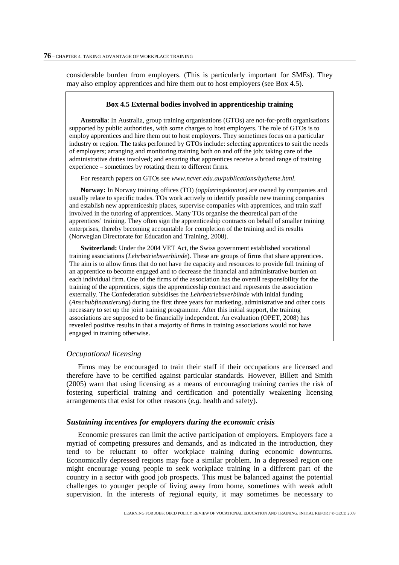considerable burden from employers. (This is particularly important for SMEs). They may also employ apprentices and hire them out to host employers (see Box 4.5).

#### **Box 4.5 External bodies involved in apprenticeship training**

**Australia**: In Australia, group training organisations (GTOs) are not-for-profit organisations supported by public authorities, with some charges to host employers. The role of GTOs is to employ apprentices and hire them out to host employers. They sometimes focus on a particular industry or region. The tasks performed by GTOs include: selecting apprentices to suit the needs of employers; arranging and monitoring training both on and off the job; taking care of the administrative duties involved; and ensuring that apprentices receive a broad range of training experience – sometimes by rotating them to different firms.

For research papers on GTOs see *www.ncver.edu.au/publications/bytheme.html*.

**Norway:** In Norway training offices (TO) *(opplæringskontor)* are owned by companies and usually relate to specific trades. TOs work actively to identify possible new training companies and establish new apprenticeship places, supervise companies with apprentices, and train staff involved in the tutoring of apprentices. Many TOs organise the theoretical part of the apprentices' training. They often sign the apprenticeship contracts on behalf of smaller training enterprises, thereby becoming accountable for completion of the training and its results (Norwegian Directorate for Education and Training, 2008).

**Switzerland:** Under the 2004 VET Act, the Swiss government established vocational training associations (*Lehrbetriebsverbünde*). These are groups of firms that share apprentices. The aim is to allow firms that do not have the capacity and resources to provide full training of an apprentice to become engaged and to decrease the financial and administrative burden on each individual firm. One of the firms of the association has the overall responsibility for the training of the apprentices, signs the apprenticeship contract and represents the association externally. The Confederation subsidises the *Lehrbetriebsverbünde* with initial funding (*Anschubfinanzierung*) during the first three years for marketing, administrative and other costs necessary to set up the joint training programme. After this initial support, the training associations are supposed to be financially independent. An evaluation (OPET, 2008) has revealed positive results in that a majority of firms in training associations would not have engaged in training otherwise.

## *Occupational licensing*

Firms may be encouraged to train their staff if their occupations are licensed and therefore have to be certified against particular standards. However, Billett and Smith (2005) warn that using licensing as a means of encouraging training carries the risk of fostering superficial training and certification and potentially weakening licensing arrangements that exist for other reasons (*e.g.* health and safety).

## *Sustaining incentives for employers during the economic crisis*

Economic pressures can limit the active participation of employers. Employers face a myriad of competing pressures and demands, and as indicated in the introduction, they tend to be reluctant to offer workplace training during economic downturns. Economically depressed regions may face a similar problem. In a depressed region one might encourage young people to seek workplace training in a different part of the country in a sector with good job prospects. This must be balanced against the potential challenges to younger people of living away from home, sometimes with weak adult supervision. In the interests of regional equity, it may sometimes be necessary to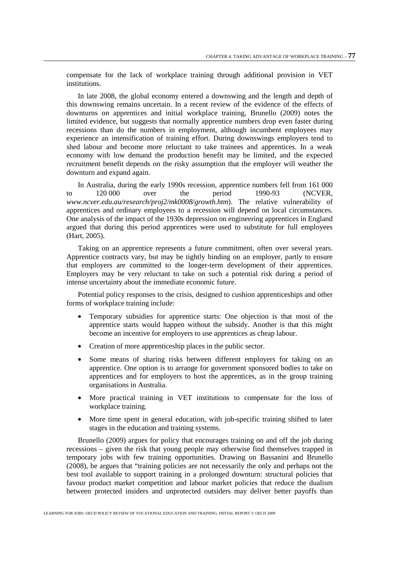compensate for the lack of workplace training through additional provision in VET institutions.

In late 2008, the global economy entered a downswing and the length and depth of this downswing remains uncertain. In a recent review of the evidence of the effects of downturns on apprentices and initial workplace training, Brunello (2009) notes the limited evidence, but suggests that normally apprentice numbers drop even faster during recessions than do the numbers in employment, although incumbent employees may experience an intensification of training effort. During downswings employers tend to shed labour and become more reluctant to take trainees and apprentices. In a weak economy with low demand the production benefit may be limited, and the expected recruitment benefit depends on the risky assumption that the employer will weather the downturn and expand again.

In Australia, during the early 1990s recession, apprentice numbers fell from 161 000<br>120 000 over the period 1990-93 (NCVER. to 120 000 over the period 1990-93 (NCVER, *www.ncver.edu.au/research/proj2/mk0008/growth.htm*). The relative vulnerability of apprentices and ordinary employees to a recession will depend on local circumstances. One analysis of the impact of the 1930s depression on engineering apprentices in England argued that during this period apprentices were used to substitute for full employees (Hart, 2005).

Taking on an apprentice represents a future commitment, often over several years. Apprentice contracts vary, but may be tightly binding on an employer, partly to ensure that employers are committed to the longer-term development of their apprentices. Employers may be very reluctant to take on such a potential risk during a period of intense uncertainty about the immediate economic future.

Potential policy responses to the crisis, designed to cushion apprenticeships and other forms of workplace training include:

- Temporary subsidies for apprentice starts: One objection is that most of the apprentice starts would happen without the subsidy. Another is that this might become an incentive for employers to use apprentices as cheap labour.
- Creation of more apprenticeship places in the public sector.
- Some means of sharing risks between different employers for taking on an apprentice. One option is to arrange for government sponsored bodies to take on apprentices and for employers to host the apprentices, as in the group training organisations in Australia.
- More practical training in VET institutions to compensate for the loss of workplace training.
- More time spent in general education, with job-specific training shifted to later stages in the education and training systems.

Brunello (2009) argues for policy that encourages training on and off the job during recessions – given the risk that young people may otherwise find themselves trapped in temporary jobs with few training opportunities. Drawing on Bassanini and Brunello (2008), he argues that "training policies are not necessarily the only and perhaps not the best tool available to support training in a prolonged downturn: structural policies that favour product market competition and labour market policies that reduce the dualism between protected insiders and unprotected outsiders may deliver better payoffs than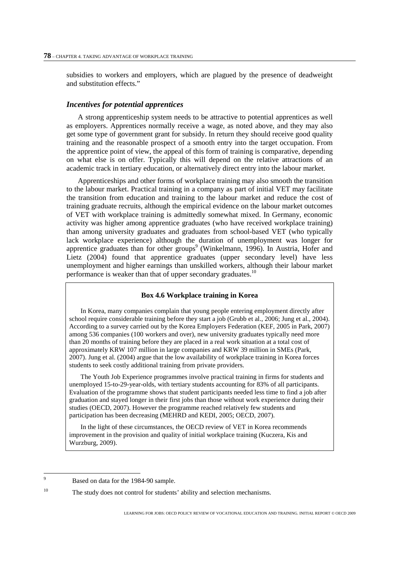subsidies to workers and employers, which are plagued by the presence of deadweight and substitution effects."

## *Incentives for potential apprentices*

A strong apprenticeship system needs to be attractive to potential apprentices as well as employers. Apprentices normally receive a wage, as noted above, and they may also get some type of government grant for subsidy. In return they should receive good quality training and the reasonable prospect of a smooth entry into the target occupation. From the apprentice point of view, the appeal of this form of training is comparative, depending on what else is on offer. Typically this will depend on the relative attractions of an academic track in tertiary education, or alternatively direct entry into the labour market.

Apprenticeships and other forms of workplace training may also smooth the transition to the labour market. Practical training in a company as part of initial VET may facilitate the transition from education and training to the labour market and reduce the cost of training graduate recruits, although the empirical evidence on the labour market outcomes of VET with workplace training is admittedly somewhat mixed. In Germany, economic activity was higher among apprentice graduates (who have received workplace training) than among university graduates and graduates from school-based VET (who typically lack workplace experience) although the duration of unemployment was longer for apprentice graduates than for other groups<sup>9</sup> (Winkelmann, 1996). In Austria, Hofer and Lietz (2004) found that apprentice graduates (upper secondary level) have less unemployment and higher earnings than unskilled workers, although their labour market performance is weaker than that of upper secondary graduates.<sup>10</sup>

#### **Box 4.6 Workplace training in Korea**

In Korea, many companies complain that young people entering employment directly after school require considerable training before they start a job (Grubb et al., 2006; Jung et al., 2004). According to a survey carried out by the Korea Employers Federation (KEF, 2005 in Park, 2007) among 536 companies (100 workers and over), new university graduates typically need more than 20 months of training before they are placed in a real work situation at a total cost of approximately KRW 107 million in large companies and KRW 39 million in SMEs (Park, 2007). Jung et al. (2004) argue that the low availability of workplace training in Korea forces students to seek costly additional training from private providers.

The Youth Job Experience programmes involve practical training in firms for students and unemployed 15-to-29-year-olds, with tertiary students accounting for 83% of all participants. Evaluation of the programme shows that student participants needed less time to find a job after graduation and stayed longer in their first jobs than those without work experience during their studies (OECD, 2007). However the programme reached relatively few students and participation has been decreasing (MEHRD and KEDI, 2005; OECD, 2007).

In the light of these circumstances, the OECD review of VET in Korea recommends improvement in the provision and quality of initial workplace training (Kuczera, Kis and Wurzburg, 2009).

 $\overline{a}$ 9

Based on data for the 1984-90 sample.

<sup>&</sup>lt;sup>10</sup> The study does not control for students' ability and selection mechanisms.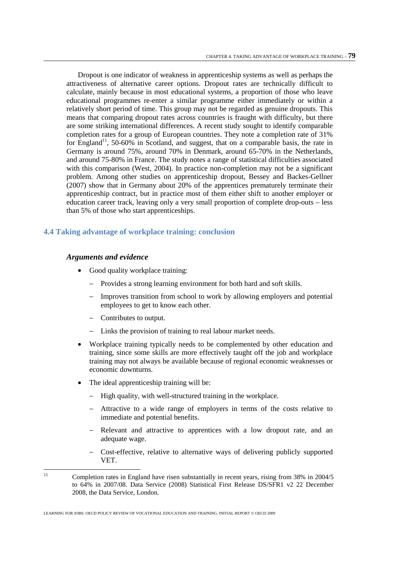Dropout is one indicator of weakness in apprenticeship systems as well as perhaps the attractiveness of alternative career options. Dropout rates are technically difficult to calculate, mainly because in most educational systems, a proportion of those who leave educational programmes re-enter a similar programme either immediately or within a relatively short period of time. This group may not be regarded as genuine dropouts. This means that comparing dropout rates across countries is fraught with difficulty, but there are some striking international differences. A recent study sought to identify comparable completion rates for a group of European countries. They note a completion rate of 31% for England<sup>11</sup>, 50-60% in Scotland, and suggest, that on a comparable basis, the rate in Germany is around 75%, around 70% in Denmark, around 65-70% in the Netherlands, and around 75-80% in France. The study notes a range of statistical difficulties associated with this comparison (West, 2004). In practice non-completion may not be a significant problem. Among other studies on apprenticeship dropout, Bessey and Backes-Gellner (2007) show that in Germany about 20% of the apprentices prematurely terminate their apprenticeship contract, but in practice most of them either shift to another employer or education career track, leaving only a very small proportion of complete drop-outs – less than 5% of those who start apprenticeships.

## **4.4 Taking advantage of workplace training: conclusion**

## *Arguments and evidence*

- Good quality workplace training:
	- − Provides a strong learning environment for both hard and soft skills.
	- − Improves transition from school to work by allowing employers and potential employees to get to know each other.
	- − Contributes to output.
	- Links the provision of training to real labour market needs.
- Workplace training typically needs to be complemented by other education and training, since some skills are more effectively taught off the job and workplace training may not always be available because of regional economic weaknesses or economic downturns.
- The ideal apprenticeship training will be:
	- High quality, with well-structured training in the workplace.
	- − Attractive to a wide range of employers in terms of the costs relative to immediate and potential benefits.
	- Relevant and attractive to apprentices with a low dropout rate, and an adequate wage.
	- − Cost-effective, relative to alternative ways of delivering publicly supported VET.

 $\overline{11}$ Completion rates in England have risen substantially in recent years, rising from 38% in 2004/5 to 64% in 2007/08. Data Service (2008) Statistical First Release DS/SFR1 v2 22 December 2008, the Data Service, London.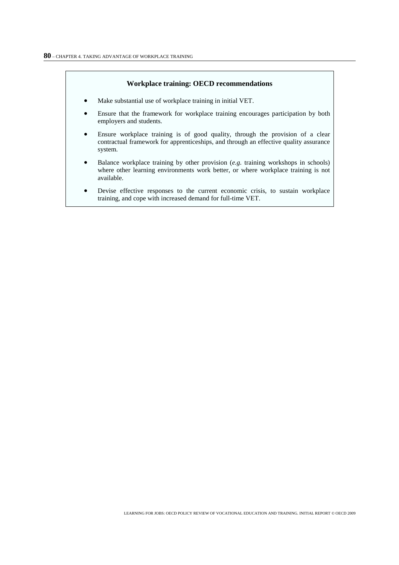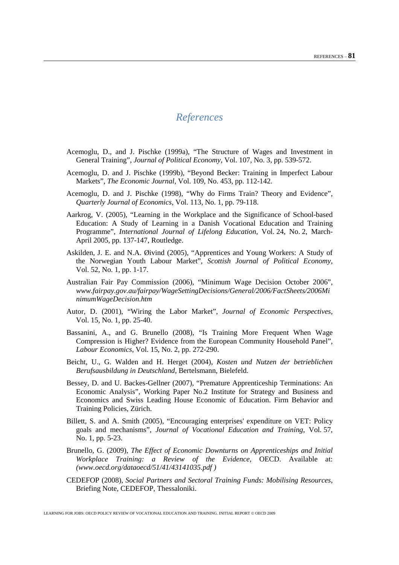# *References*

- Acemoglu, D., and J. Pischke (1999a), "The Structure of Wages and Investment in General Training", *Journal of Political Economy,* Vol. 107, No. 3, pp. 539-572.
- Acemoglu, D. and J. Pischke (1999b), "Beyond Becker: Training in Imperfect Labour Markets", *The Economic Journal*, Vol. 109, No. 453, pp. 112-142.
- Acemoglu, D. and J. Pischke (1998), "Why do Firms Train? Theory and Evidence", *Quarterly Journal of Economics*, Vol. 113, No. 1, pp. 79-118.
- Aarkrog, V. (2005), "Learning in the Workplace and the Significance of School-based Education: A Study of Learning in a Danish Vocational Education and Training Programme", *International Journal of Lifelong Education*, Vol. 24, No. 2, March-April 2005, pp. 137-147, Routledge.
- Askilden, J. E. and N.A. Øivind (2005), "Apprentices and Young Workers: A Study of the Norwegian Youth Labour Market", *Scottish Journal of Political Economy*, Vol. 52, No. 1, pp. 1-17.
- Australian Fair Pay Commission (2006), "Minimum Wage Decision October 2006", *www.fairpay.gov.au/fairpay/WageSettingDecisions/General/2006/FactSheets/2006Mi nimumWageDecision.htm*
- Autor, D. (2001), "Wiring the Labor Market", *Journal of Economic Perspectives,*  Vol. 15, No. 1, pp. 25-40.
- Bassanini, A., and G. Brunello (2008), "Is Training More Frequent When Wage Compression is Higher? Evidence from the European Community Household Panel", *Labour Economics*, Vol. 15, No. 2, pp. 272-290.
- Beicht, U., G. Walden and H. Herget (2004), *Kosten und Nutzen der betrieblichen Berufsausbildung in Deutschland,* Bertelsmann, Bielefeld.
- Bessey, D. and U. Backes-Gellner (2007), "Premature Apprenticeship Terminations: An Economic Analysis", Working Paper No.2 Institute for Strategy and Business and Economics and Swiss Leading House Economic of Education. Firm Behavior and Training Policies, Zürich.
- Billett, S. and A. Smith (2005), "Encouraging enterprises' expenditure on VET: Policy goals and mechanisms", *Journal of Vocational Education and Training*, Vol. 57, No. 1, pp. 5-23.
- Brunello, G. (2009), *The Effect of Economic Downturns on Apprenticeships and Initial Workplace Training: a Review of the Evidence,* OECD. Available at: *(www.oecd.org/dataoecd/51/41/43141035.pdf )*
- CEDEFOP (2008), *Social Partners and Sectoral Training Funds: Mobilising Resources*, Briefing Note, CEDEFOP, Thessaloniki.

LEARNING FOR JOBS: OECD POLICY REVIEW OF VOCATIONAL EDUCATION AND TRAINING. INITIAL REPORT © OECD 2009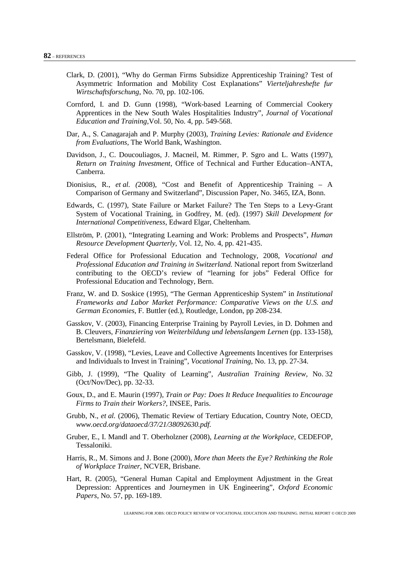- Clark, D. (2001), "Why do German Firms Subsidize Apprenticeship Training? Test of Asymmetric Information and Mobility Cost Explanations" *Vierteljahreshefte fur Wirtschaftsforschung*, No. 70, pp. 102-106.
- Cornford, I. and D. Gunn (1998), "Work-based Learning of Commercial Cookery Apprentices in the New South Wales Hospitalities Industry", *Journal of Vocational Education and Training*,Vol. 50, No. 4, pp. 549-568.
- Dar, A., S. Canagarajah and P. Murphy (2003), *Training Levies: Rationale and Evidence from Evaluations,* The World Bank, Washington.
- Davidson, J., C. Doucouliagos, J. Macneil, M. Rimmer, P. Sgro and L. Watts (1997), *Return on Training Investment*, Office of Technical and Further Education–ANTA, Canberra.
- Dionisius, R., *et al. (*2008), "Cost and Benefit of Apprenticeship Training A Comparison of Germany and Switzerland", Discussion Paper, No. 3465, IZA, Bonn.
- Edwards, C. (1997), State Failure or Market Failure? The Ten Steps to a Levy-Grant System of Vocational Training, in Godfrey, M. (ed). (1997) *Skill Development for International Competitiveness*, Edward Elgar, Cheltenham.
- Ellström, P. (2001), "Integrating Learning and Work: Problems and Prospects", *Human Resource Development Quarterly*, Vol. 12, No. 4, pp. 421-435.
- Federal Office for Professional Education and Technology, 2008, *Vocational and Professional Education and Training in Switzerland.* National report from Switzerland contributing to the OECD's review of "learning for jobs" Federal Office for Professional Education and Technology, Bern.
- Franz, W. and D. Soskice (1995), "The German Apprenticeship System" in *Institutional Frameworks and Labor Market Performance: Comparative Views on the U.S. and German Economies,* F. Buttler (ed.), Routledge, London, pp 208-234.
- Gasskov, V. (2003), Financing Enterprise Training by Payroll Levies, in D. Dohmen and B. Cleuvers, *Finanziering von Weiterbildung und lebenslangem Lernen* (pp. 133-158), Bertelsmann, Bielefeld.
- Gasskov, V. (1998), "Levies, Leave and Collective Agreements Incentives for Enterprises and Individuals to Invest in Training", *Vocational Training*, No. 13, pp. 27-34.
- Gibb, J. (1999), "The Quality of Learning", *Australian Training Review,* No. 32 (Oct/Nov/Dec), pp. 32-33.
- Goux, D., and E. Maurin (1997), *Train or Pay: Does It Reduce Inequalities to Encourage Firms to Train their Workers?,* INSEE, Paris.
- Grubb, N., *et al.* (2006), Thematic Review of Tertiary Education, Country Note, OECD, *www.oecd.org/dataoecd/37/21/38092630.pdf.*
- Gruber, E., I. Mandl and T. Oberholzner (2008), *Learning at the Workplace,* CEDEFOP, Tessaloniki.
- Harris, R., M. Simons and J. Bone (2000), *More than Meets the Eye? Rethinking the Role of Workplace Trainer,* NCVER, Brisbane.
- Hart, R. (2005), "General Human Capital and Employment Adjustment in the Great Depression: Apprentices and Journeymen in UK Engineering", *Oxford Economic Papers*, No. 57, pp. 169-189.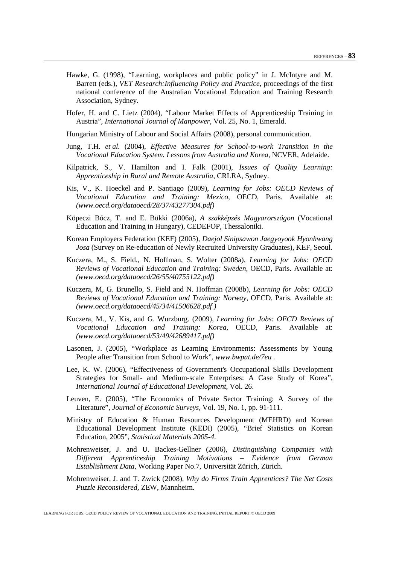- Hawke, G. (1998), "Learning, workplaces and public policy" in J. McIntyre and M. Barrett (eds.), *VET Research:Influencing Policy and Practice*, proceedings of the first national conference of the Australian Vocational Education and Training Research Association, Sydney.
- Hofer, H. and C. Lietz (2004), "Labour Market Effects of Apprenticeship Training in Austria", *International Journal of Manpower*, Vol. 25, No. 1, Emerald.

Hungarian Ministry of Labour and Social Affairs (2008), personal communication.

- Jung, T.H. *et al.* (2004), *Effective Measures for School-to-work Transition in the Vocational Education System. Lessons from Australia and Korea*, NCVER, Adelaide.
- Kilpatrick, S., V. Hamilton and I. Falk (2001), *Issues of Quality Learning: Apprenticeship in Rural and Remote Australia*, CRLRA, Sydney.
- Kis, V., K. Hoeckel and P. Santiago (2009), *Learning for Jobs: OECD Reviews of Vocational Education and Training: Mexico,* OECD, Paris. Available at: *(www.oecd.org/dataoecd/28/37/43277304.pdf)*
- Köpeczi Bócz, T. and E. Bükki (2006a), *A szakképzés Magyarországon* (Vocational Education and Training in Hungary), CEDEFOP, Thessaloniki.
- Korean Employers Federation (KEF) (2005), *Daejol Sinipsawon Jaegyoyook Hyonhwang Josa* (Survey on Re-education of Newly Recruited University Graduates), KEF, Seoul.
- Kuczera, M., S. Field., N. Hoffman, S. Wolter (2008a), *Learning for Jobs: OECD Reviews of Vocational Education and Training: Sweden,* OECD, Paris. Available at: *(www.oecd.org/dataoecd/26/55/40755122.pdf)*
- Kuczera, M, G. Brunello, S. Field and N. Hoffman (2008b), *Learning for Jobs: OECD Reviews of Vocational Education and Training: Norway*, OECD, Paris. Available at: *(www.oecd.org/dataoecd/45/34/41506628.pdf )*
- Kuczera, M., V. Kis, and G. Wurzburg. (2009), *Learning for Jobs: OECD Reviews of Vocational Education and Training: Korea,* OECD, Paris. Available at: *(www.oecd.org/dataoecd/53/49/42689417.pdf)*
- Lasonen, J. (2005), "Workplace as Learning Environments: Assessments by Young People after Transition from School to Work", *www.bwpat.de/7eu .*
- Lee, K. W. (2006), "Effectiveness of Government's Occupational Skills Development Strategies for Small- and Medium-scale Enterprises: A Case Study of Korea", *International Journal of Educational Development*, Vol. 26.
- Leuven, E. (2005), "The Economics of Private Sector Training: A Survey of the Literature", *Journal of Economic Surveys,* Vol. 19, No. 1, pp. 91-111.
- Ministry of Education & Human Resources Development (MEHRD) and Korean Educational Development Institute (KEDI) (2005), "Brief Statistics on Korean Education, 2005", *Statistical Materials 2005-4*.
- Mohrenweiser, J. and U. Backes-Gellner (2006), *Distinguishing Companies with Different Apprenticeship Training Motivations – Evidence from German Establishment Data*, Working Paper No.7, Universität Zürich, Zürich.
- Mohrenweiser, J. and T. Zwick (2008), *Why do Firms Train Apprentices? The Net Costs Puzzle Reconsidered,* ZEW, Mannheim.

LEARNING FOR JOBS: OECD POLICY REVIEW OF VOCATIONAL EDUCATION AND TRAINING. INITIAL REPORT © OECD 2009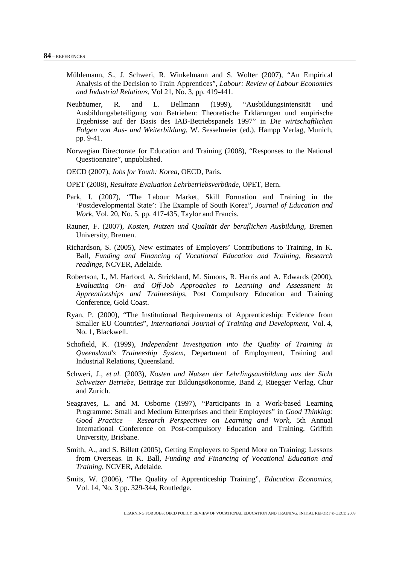- Mühlemann, S., J. Schweri, R. Winkelmann and S. Wolter (2007), "An Empirical Analysis of the Decision to Train Apprentices", *Labour: Review of Labour Economics and Industrial Relations*, Vol 21, No. 3, pp. 419-441.
- Neubäumer, R. and L. Bellmann (1999), "Ausbildungsintensität und Ausbildungsbeteiligung von Betrieben: Theoretische Erklärungen und empirische Ergebnisse auf der Basis des IAB-Betriebspanels 1997" in *Die wirtschaftlichen Folgen von Aus- und Weiterbildung*, W. Sesselmeier (ed.), Hampp Verlag, Munich, pp. 9-41.
- Norwegian Directorate for Education and Training (2008), "Responses to the National Questionnaire", unpublished.
- OECD (2007), *Jobs for Youth: Korea*, OECD, Paris.
- OPET (2008), *Resultate Evaluation Lehrbetriebsverbünde*, OPET, Bern.
- Park, I. (2007), "The Labour Market, Skill Formation and Training in the 'Postdevelopmental State': The Example of South Korea", *Journal of Education and Work*, Vol. 20, No. 5, pp. 417-435, Taylor and Francis.
- Rauner, F. (2007), *Kosten, Nutzen und Qualität der beruflichen Ausbildung,* Bremen University, Bremen.
- Richardson, S. (2005), New estimates of Employers' Contributions to Training, in K. Ball, *Funding and Financing of Vocational Education and Training, Research readings,* NCVER, Adelaide.
- Robertson, I., M. Harford, A. Strickland, M. Simons, R. Harris and A. Edwards (2000), *Evaluating On- and Off-Job Approaches to Learning and Assessment in Apprenticeships and Traineeships*, Post Compulsory Education and Training Conference, Gold Coast.
- Ryan, P. (2000), "The Institutional Requirements of Apprenticeship: Evidence from Smaller EU Countries", *International Journal of Training and Development,* Vol. 4, No. 1, Blackwell.
- Schofield, K. (1999), *Independent Investigation into the Quality of Training in Queensland's Traineeship System*, Department of Employment, Training and Industrial Relations, Queensland.
- Schweri, J., *et al.* (2003), *Kosten und Nutzen der Lehrlingsausbildung aus der Sicht Schweizer Betriebe*, Beiträge zur Bildungsökonomie, Band 2, Rüegger Verlag, Chur and Zurich.
- Seagraves, L. and M. Osborne (1997), "Participants in a Work-based Learning Programme: Small and Medium Enterprises and their Employees" in *Good Thinking: Good Practice – Research Perspectives on Learning and Work*, 5th Annual International Conference on Post-compulsory Education and Training, Griffith University, Brisbane.
- Smith, A., and S. Billett (2005), Getting Employers to Spend More on Training: Lessons from Overseas. In K. Ball, *Funding and Financing of Vocational Education and Training*, NCVER, Adelaide.
- Smits, W. (2006), "The Quality of Apprenticeship Training", *Education Economics*, Vol. 14, No. 3 pp. 329-344, Routledge.